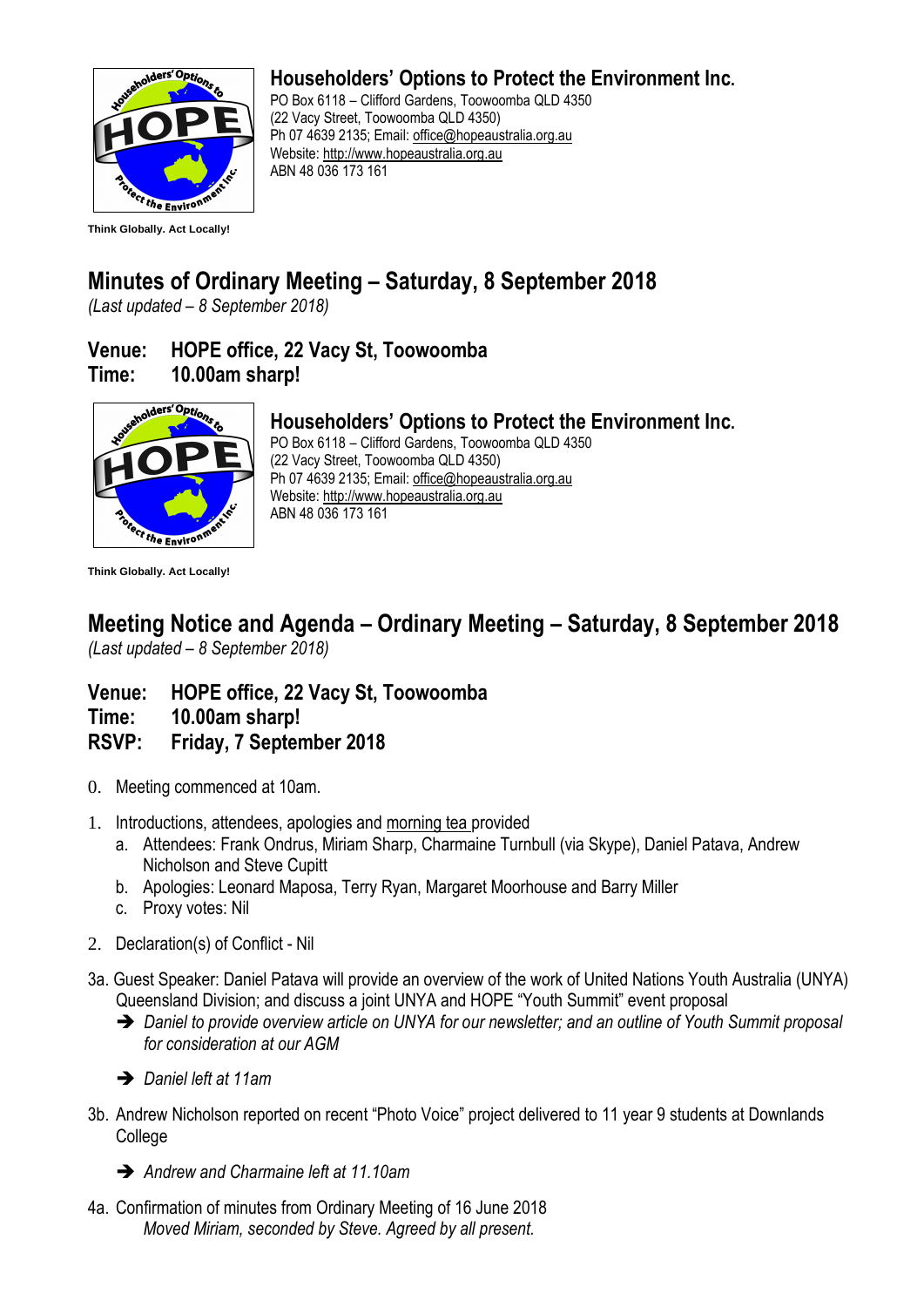

### **Householders' Options to Protect the Environment Inc.**

PO Box 6118 – Clifford Gardens, Toowoomba QLD 4350 (22 Vacy Street, Toowoomba QLD 4350) Ph 07 4639 2135; Email: [office@hopeaustralia.org.au](mailto:office@hopeaustralia.org.au)  Website: [http://www.hopeaustralia.org.au](http://www.hopeaustralia.org.au/) ABN 48 036 173 161

# **Minutes of Ordinary Meeting – Saturday, 8 September 2018**

*(Last updated – 8 September 2018)*

## **Venue: HOPE office, 22 Vacy St, Toowoomba Time: 10.00am sharp!**



# **Householders' Options to Protect the Environment Inc.**

PO Box 6118 – Clifford Gardens, Toowoomba QLD 4350 (22 Vacy Street, Toowoomba QLD 4350) Ph 07 4639 2135; Email: [office@hopeaustralia.org.au](mailto:office@hopeaustralia.org.au)  Website: [http://www.hopeaustralia.org.au](http://www.hopeaustralia.org.au/) ABN 48 036 173 161

**Think Globally. Act Locally!**

#### **Meeting Notice and Agenda – Ordinary Meeting – Saturday, 8 September 2018** *(Last updated – 8 September 2018)*

- **Venue: HOPE office, 22 Vacy St, Toowoomba**
- **Time: 10.00am sharp!**
- **RSVP: Friday, 7 September 2018**
- 0. Meeting commenced at 10am.
- 1. Introductions, attendees, apologies and morning tea provided
	- a. Attendees: Frank Ondrus, Miriam Sharp, Charmaine Turnbull (via Skype), Daniel Patava, Andrew Nicholson and Steve Cupitt
	- b. Apologies: Leonard Maposa, Terry Ryan, Margaret Moorhouse and Barry Miller
	- c. Proxy votes: Nil
- 2. Declaration(s) of Conflict Nil
- 3a. Guest Speaker: Daniel Patava will provide an overview of the work of United Nations Youth Australia (UNYA) Queensland Division; and discuss a joint UNYA and HOPE "Youth Summit" event proposal
	- ➔ *Daniel to provide overview article on UNYA for our newsletter; and an outline of Youth Summit proposal for consideration at our AGM*
	- ➔ *Daniel left at 11am*
- 3b. Andrew Nicholson reported on recent "Photo Voice" project delivered to 11 year 9 students at Downlands College
	- ➔ *Andrew and Charmaine left at 11.10am*
- 4a. Confirmation of minutes from Ordinary Meeting of 16 June 2018 *Moved Miriam, seconded by Steve. Agreed by all present.*